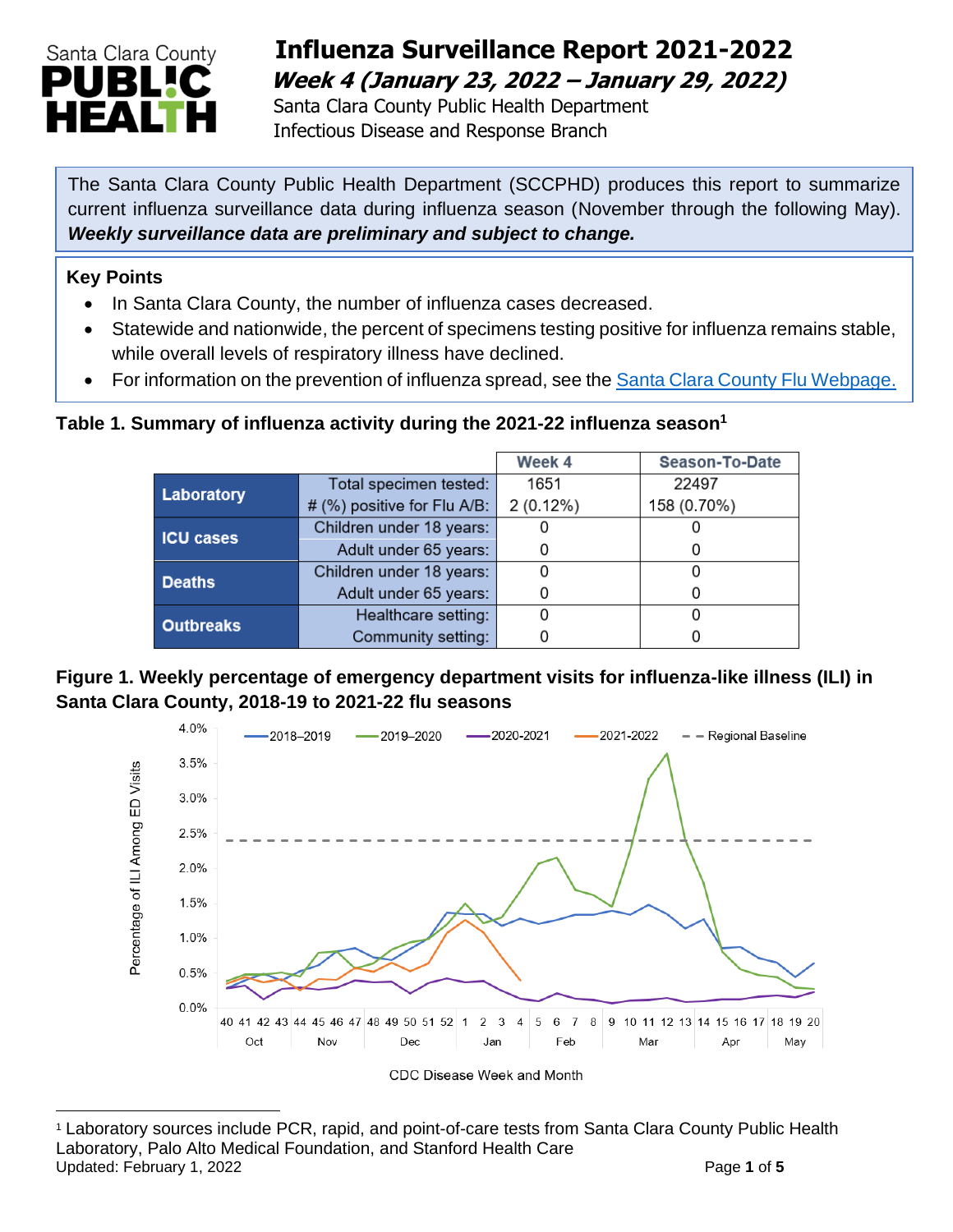

## **Influenza Surveillance Report 2021-2022 Week 4 (January 23, 2022 – January 29, 2022)**

 Santa Clara County Public Health Department Infectious Disease and Response Branch

The Santa Clara County Public Health Department (SCCPHD) produces this report to summarize current influenza surveillance data during influenza season (November through the following May). *Weekly surveillance data are preliminary and subject to change.*

#### **Key Points**

- In Santa Clara County, the number of influenza cases decreased.
- Statewide and nationwide, the percent of specimens testing positive for influenza remains stable, while overall levels of respiratory illness have declined.
- For information on the prevention of influenza spread, see the [Santa Clara County Flu Webpage.](https://publichealth.sccgov.org/disease-information/influenza-flu)

### **Table 1. Summary of influenza activity during the 2021-22 influenza season<sup>1</sup>**

|                  |                             | Week 4      | Season-To-Date |
|------------------|-----------------------------|-------------|----------------|
| Laboratory       | Total specimen tested:      | 1651        | 22497          |
|                  | # (%) positive for Flu A/B: | $2(0.12\%)$ | 158 (0.70%)    |
| <b>ICU cases</b> | Children under 18 years:    |             |                |
|                  | Adult under 65 years:       |             | O              |
| <b>Deaths</b>    | Children under 18 years:    |             |                |
|                  | Adult under 65 years:       |             | O              |
| <b>Outbreaks</b> | Healthcare setting:         |             |                |
|                  | Community setting:          |             |                |

#### **Figure 1. Weekly percentage of emergency department visits for influenza-like illness (ILI) in Santa Clara County, 2018-19 to 2021-22 flu seasons**



<sup>1</sup> Laboratory sources include PCR, rapid, and point-of-care tests from Santa Clara County Public Health Laboratory, Palo Alto Medical Foundation, and Stanford Health Care Updated: February 1, 2022 **Page 1** of 5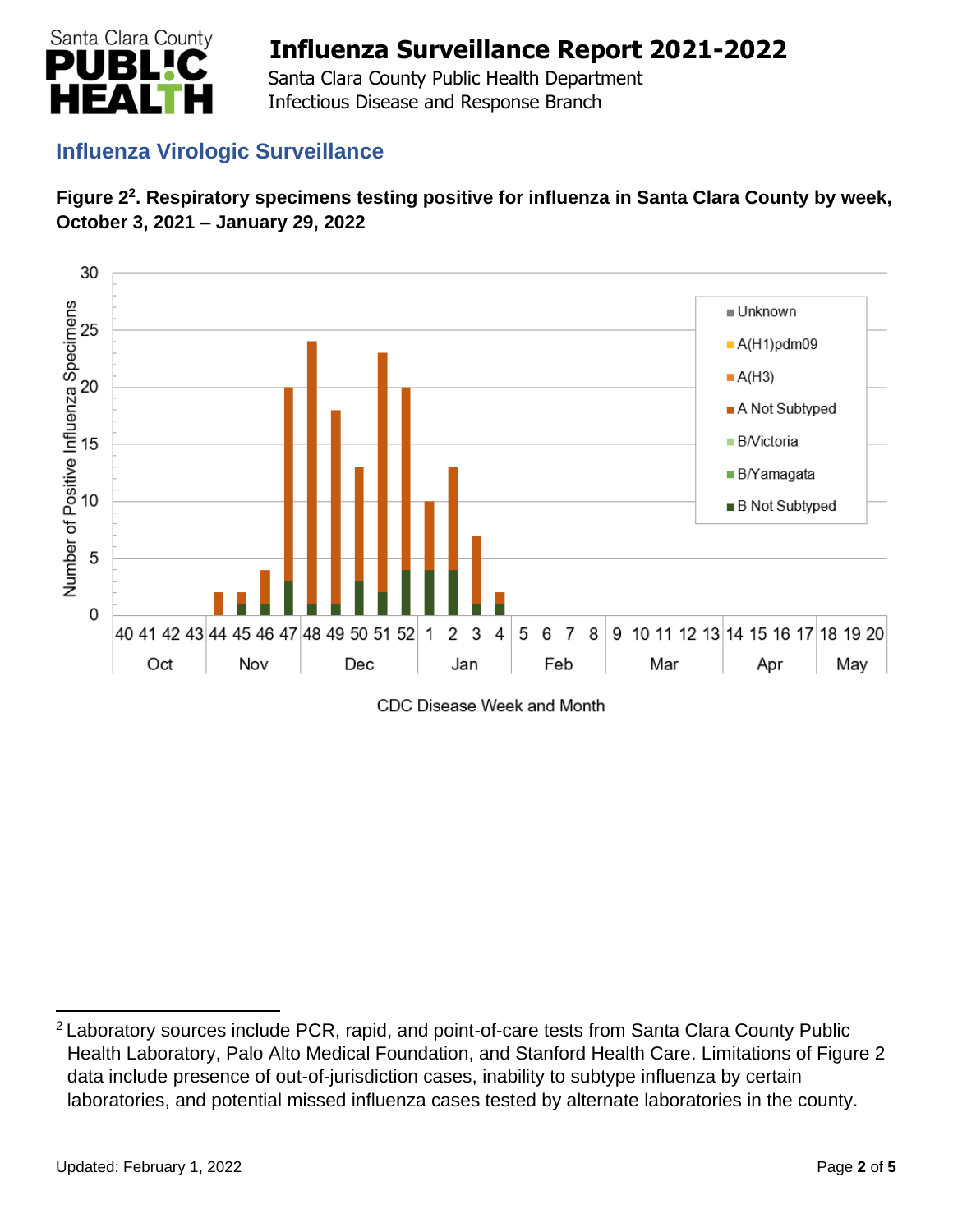

 Santa Clara County Public Health Department Infectious Disease and Response Branch

## **Influenza Virologic Surveillance**





CDC Disease Week and Month

<sup>&</sup>lt;sup>2</sup> Laboratory sources include PCR, rapid, and point-of-care tests from Santa Clara County Public Health Laboratory, Palo Alto Medical Foundation, and Stanford Health Care. Limitations of Figure 2 data include presence of out-of-jurisdiction cases, inability to subtype influenza by certain laboratories, and potential missed influenza cases tested by alternate laboratories in the county.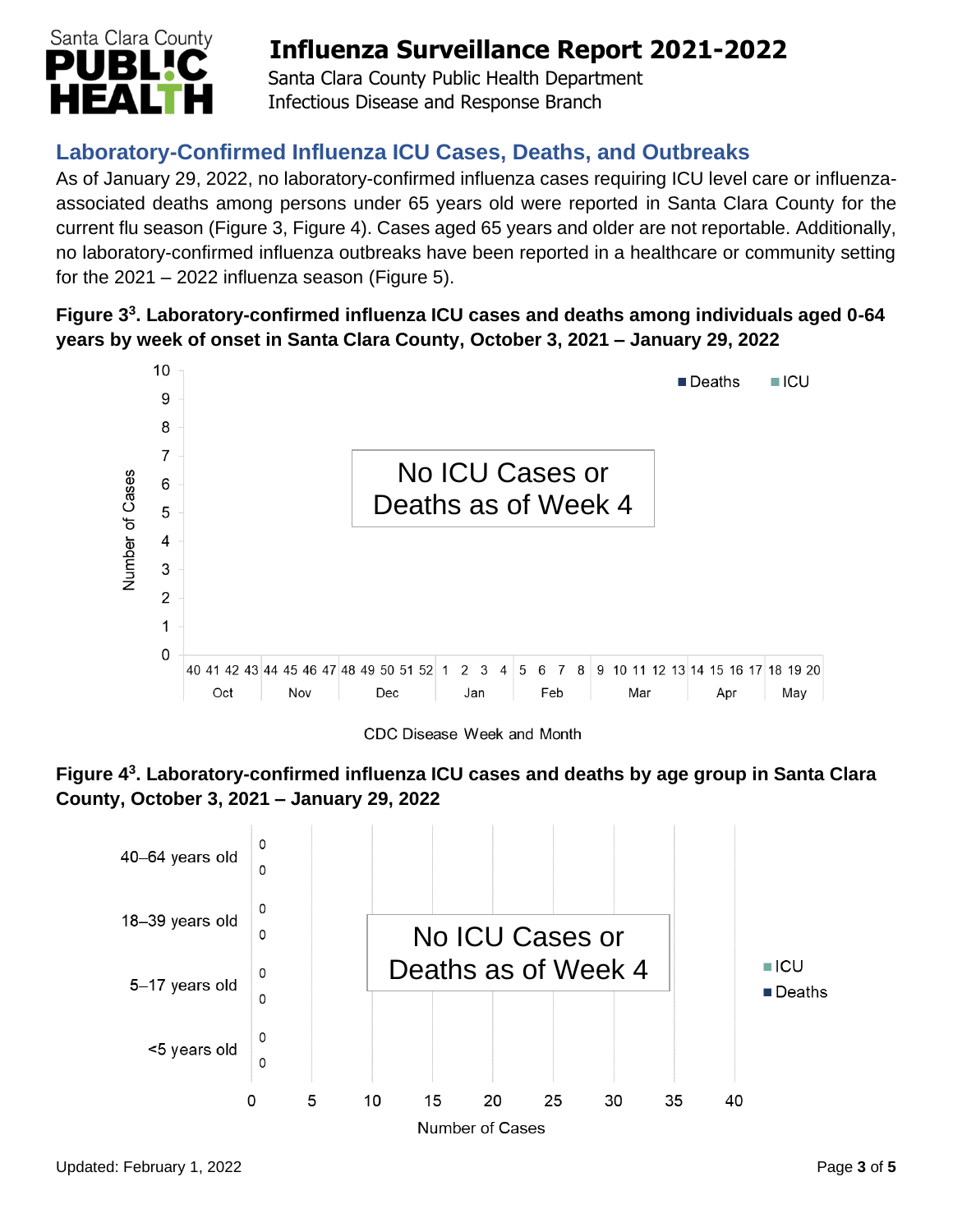

 Santa Clara County Public Health Department Infectious Disease and Response Branch

## **Laboratory-Confirmed Influenza ICU Cases, Deaths, and Outbreaks**

As of January 29, 2022, no laboratory-confirmed influenza cases requiring ICU level care or influenzaassociated deaths among persons under 65 years old were reported in Santa Clara County for the current flu season (Figure 3, Figure 4). Cases aged 65 years and older are not reportable. Additionally, no laboratory-confirmed influenza outbreaks have been reported in a healthcare or community setting for the  $2021 - 2022$  influenza season (Figure 5).

### **Figure 3 3 . Laboratory-confirmed influenza ICU cases and deaths among individuals aged 0-64 years by week of onset in Santa Clara County, October 3, 2021 – January 29, 2022**



CDC Disease Week and Month



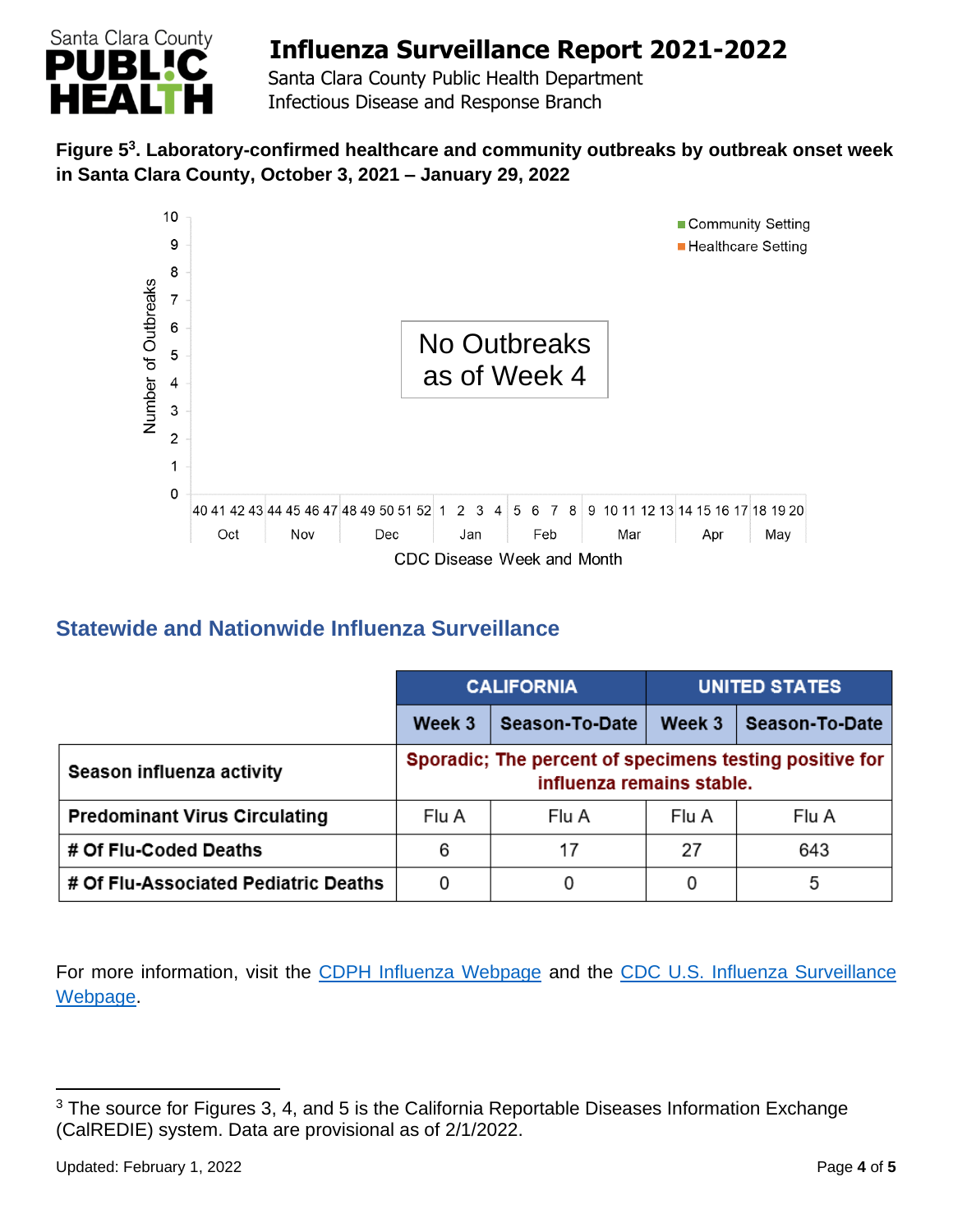

 Santa Clara County Public Health Department Infectious Disease and Response Branch

### **Figure 5 3 . Laboratory-confirmed healthcare and community outbreaks by outbreak onset week in Santa Clara County, October 3, 2021 – January 29, 2022**



## **Statewide and Nationwide Influenza Surveillance**

|                                      | <b>CALIFORNIA</b> |                                                                                      | <b>UNITED STATES</b> |                |
|--------------------------------------|-------------------|--------------------------------------------------------------------------------------|----------------------|----------------|
|                                      | Week 3            | <b>Season-To-Date</b>                                                                | Week 3               | Season-To-Date |
| Season influenza activity            |                   | Sporadic; The percent of specimens testing positive for<br>influenza remains stable. |                      |                |
| <b>Predominant Virus Circulating</b> | Flu A             | Flu A                                                                                | Flu A                | Flu A          |
| # Of Flu-Coded Deaths                | 6                 | 17                                                                                   | 27                   | 643            |
| # Of Flu-Associated Pediatric Deaths | 0                 | 0                                                                                    |                      | 5              |

For more information, visit the [CDPH Influenza Webpage](http://www.cdph.ca.gov/Programs/CID/DCDC/Pages/Immunization/Influenza.aspx) and the CDC U.S. Influenza Surveillance [Webpage.](http://www.cdc.gov/flu/weekly/)

<sup>&</sup>lt;sup>3</sup> The source for Figures 3, 4, and 5 is the California Reportable Diseases Information Exchange (CalREDIE) system. Data are provisional as of 2/1/2022.